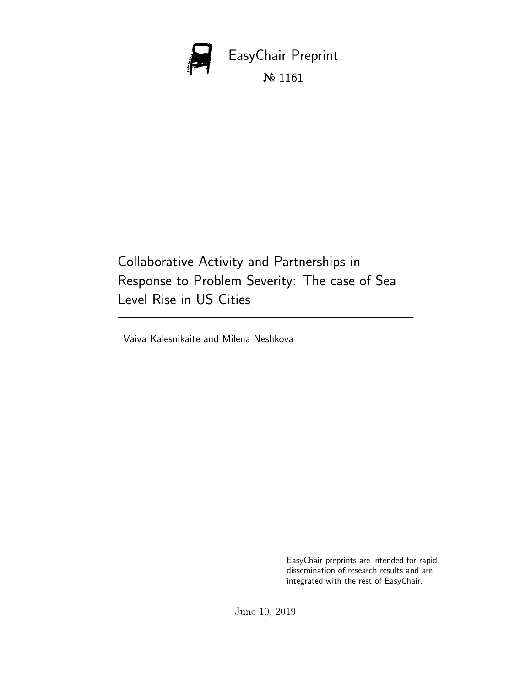

Collaborative Activity and Partnerships in Response to Problem Severity: The case of Sea Level Rise in US Cities

Vaiva Kalesnikaite and Milena Neshkova

EasyChair preprints are intended for rapid dissemination of research results and are integrated with the rest of EasyChair.

June 10, 2019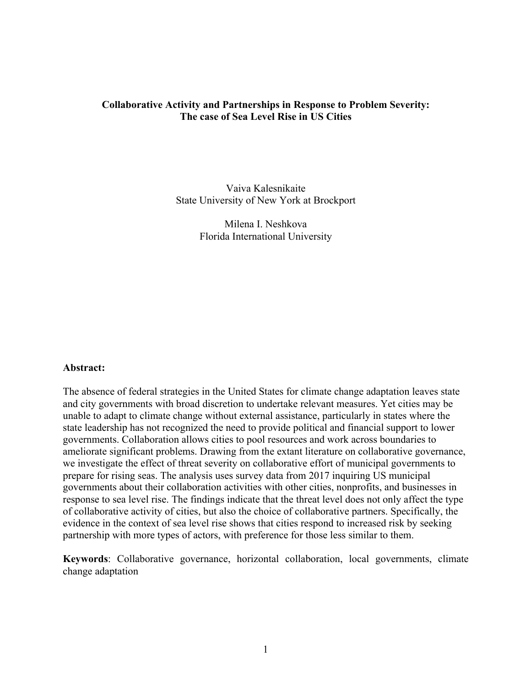## **Collaborative Activity and Partnerships in Response to Problem Severity: The case of Sea Level Rise in US Cities**

Vaiva Kalesnikaite State University of New York at Brockport

> Milena I. Neshkova Florida International University

### **Abstract:**

The absence of federal strategies in the United States for climate change adaptation leaves state and city governments with broad discretion to undertake relevant measures. Yet cities may be unable to adapt to climate change without external assistance, particularly in states where the state leadership has not recognized the need to provide political and financial support to lower governments. Collaboration allows cities to pool resources and work across boundaries to ameliorate significant problems. Drawing from the extant literature on collaborative governance, we investigate the effect of threat severity on collaborative effort of municipal governments to prepare for rising seas. The analysis uses survey data from 2017 inquiring US municipal governments about their collaboration activities with other cities, nonprofits, and businesses in response to sea level rise. The findings indicate that the threat level does not only affect the type of collaborative activity of cities, but also the choice of collaborative partners. Specifically, the evidence in the context of sea level rise shows that cities respond to increased risk by seeking partnership with more types of actors, with preference for those less similar to them.

**Keywords**: Collaborative governance, horizontal collaboration, local governments, climate change adaptation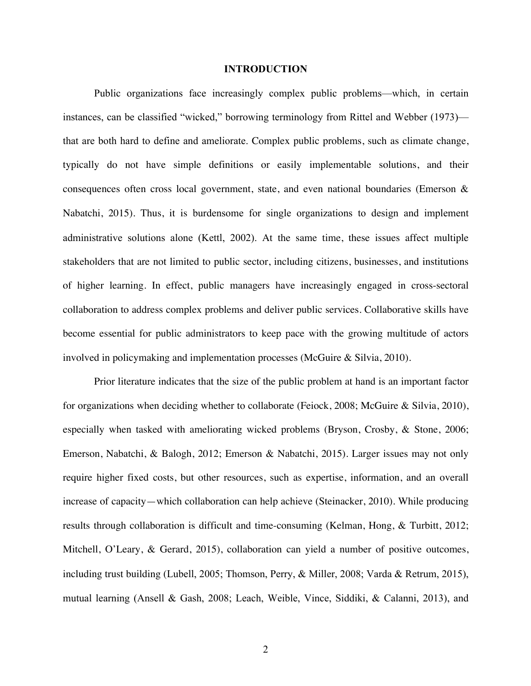#### **INTRODUCTION**

Public organizations face increasingly complex public problems—which, in certain instances, can be classified "wicked," borrowing terminology from Rittel and Webber (1973) that are both hard to define and ameliorate. Complex public problems, such as climate change, typically do not have simple definitions or easily implementable solutions, and their consequences often cross local government, state, and even national boundaries (Emerson & Nabatchi, 2015). Thus, it is burdensome for single organizations to design and implement administrative solutions alone (Kettl, 2002). At the same time, these issues affect multiple stakeholders that are not limited to public sector, including citizens, businesses, and institutions of higher learning. In effect, public managers have increasingly engaged in cross-sectoral collaboration to address complex problems and deliver public services. Collaborative skills have become essential for public administrators to keep pace with the growing multitude of actors involved in policymaking and implementation processes (McGuire & Silvia, 2010).

Prior literature indicates that the size of the public problem at hand is an important factor for organizations when deciding whether to collaborate (Feiock, 2008; McGuire & Silvia, 2010), especially when tasked with ameliorating wicked problems (Bryson, Crosby, & Stone, 2006; Emerson, Nabatchi, & Balogh, 2012; Emerson & Nabatchi, 2015). Larger issues may not only require higher fixed costs, but other resources, such as expertise, information, and an overall increase of capacity—which collaboration can help achieve (Steinacker, 2010). While producing results through collaboration is difficult and time-consuming (Kelman, Hong, & Turbitt, 2012; Mitchell, O'Leary, & Gerard, 2015), collaboration can yield a number of positive outcomes, including trust building (Lubell, 2005; Thomson, Perry, & Miller, 2008; Varda & Retrum, 2015), mutual learning (Ansell & Gash, 2008; Leach, Weible, Vince, Siddiki, & Calanni, 2013), and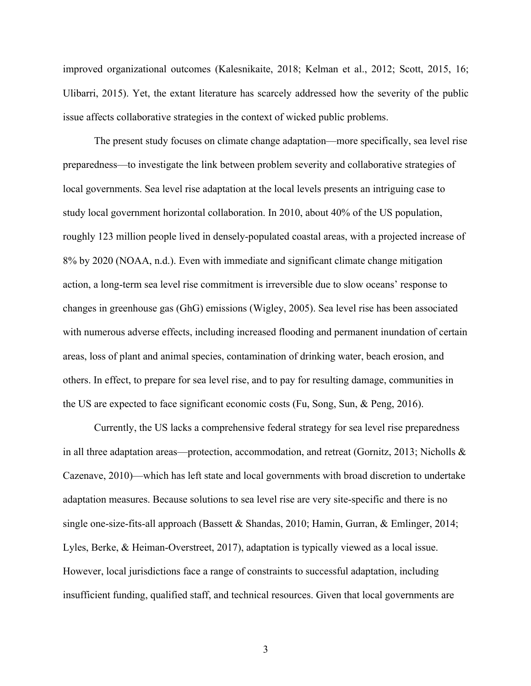improved organizational outcomes (Kalesnikaite, 2018; Kelman et al., 2012; Scott, 2015, 16; Ulibarri, 2015). Yet, the extant literature has scarcely addressed how the severity of the public issue affects collaborative strategies in the context of wicked public problems.

The present study focuses on climate change adaptation—more specifically, sea level rise preparedness—to investigate the link between problem severity and collaborative strategies of local governments. Sea level rise adaptation at the local levels presents an intriguing case to study local government horizontal collaboration. In 2010, about 40% of the US population, roughly 123 million people lived in densely-populated coastal areas, with a projected increase of 8% by 2020 (NOAA, n.d.). Even with immediate and significant climate change mitigation action, a long-term sea level rise commitment is irreversible due to slow oceans' response to changes in greenhouse gas (GhG) emissions (Wigley, 2005). Sea level rise has been associated with numerous adverse effects, including increased flooding and permanent inundation of certain areas, loss of plant and animal species, contamination of drinking water, beach erosion, and others. In effect, to prepare for sea level rise, and to pay for resulting damage, communities in the US are expected to face significant economic costs (Fu, Song, Sun, & Peng, 2016).

Currently, the US lacks a comprehensive federal strategy for sea level rise preparedness in all three adaptation areas—protection, accommodation, and retreat (Gornitz, 2013; Nicholls & Cazenave, 2010)—which has left state and local governments with broad discretion to undertake adaptation measures. Because solutions to sea level rise are very site-specific and there is no single one-size-fits-all approach (Bassett & Shandas, 2010; Hamin, Gurran, & Emlinger, 2014; Lyles, Berke, & Heiman-Overstreet, 2017), adaptation is typically viewed as a local issue. However, local jurisdictions face a range of constraints to successful adaptation, including insufficient funding, qualified staff, and technical resources. Given that local governments are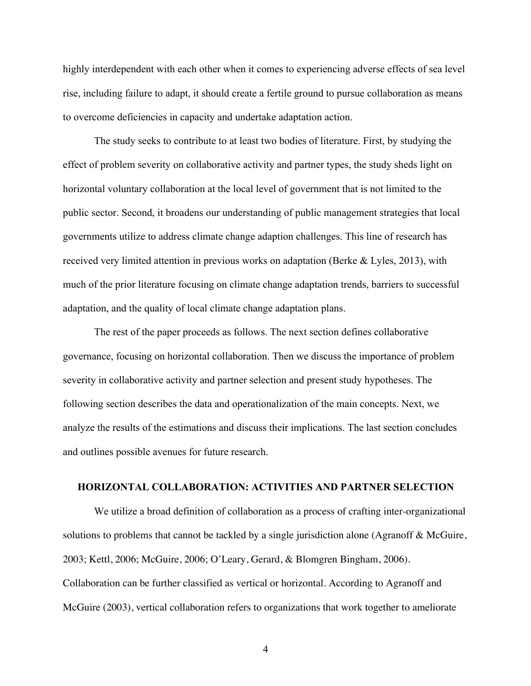highly interdependent with each other when it comes to experiencing adverse effects of sea level rise, including failure to adapt, it should create a fertile ground to pursue collaboration as means to overcome deficiencies in capacity and undertake adaptation action.

The study seeks to contribute to at least two bodies of literature. First, by studying the effect of problem severity on collaborative activity and partner types, the study sheds light on horizontal voluntary collaboration at the local level of government that is not limited to the public sector. Second, it broadens our understanding of public management strategies that local governments utilize to address climate change adaption challenges. This line of research has received very limited attention in previous works on adaptation (Berke & Lyles, 2013), with much of the prior literature focusing on climate change adaptation trends, barriers to successful adaptation, and the quality of local climate change adaptation plans.

The rest of the paper proceeds as follows. The next section defines collaborative governance, focusing on horizontal collaboration. Then we discuss the importance of problem severity in collaborative activity and partner selection and present study hypotheses. The following section describes the data and operationalization of the main concepts. Next, we analyze the results of the estimations and discuss their implications. The last section concludes and outlines possible avenues for future research.

#### **HORIZONTAL COLLABORATION: ACTIVITIES AND PARTNER SELECTION**

We utilize a broad definition of collaboration as a process of crafting inter-organizational solutions to problems that cannot be tackled by a single jurisdiction alone (Agranoff & McGuire, 2003; Kettl, 2006; McGuire, 2006; O'Leary, Gerard, & Blomgren Bingham, 2006). Collaboration can be further classified as vertical or horizontal. According to Agranoff and McGuire (2003), vertical collaboration refers to organizations that work together to ameliorate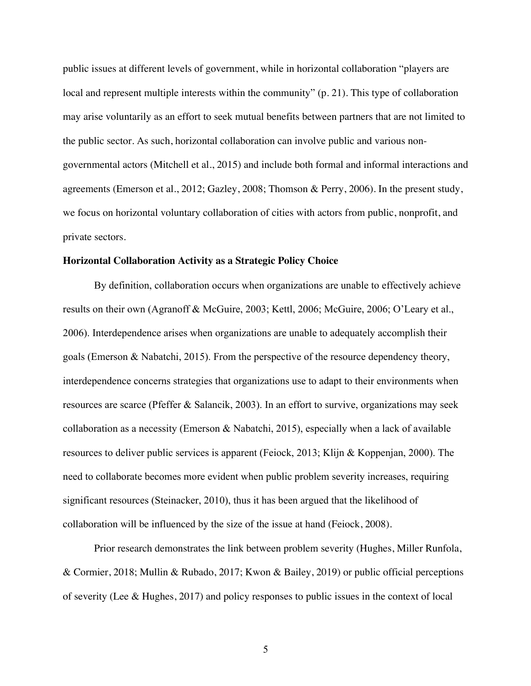public issues at different levels of government, while in horizontal collaboration "players are local and represent multiple interests within the community" (p. 21). This type of collaboration may arise voluntarily as an effort to seek mutual benefits between partners that are not limited to the public sector. As such, horizontal collaboration can involve public and various nongovernmental actors (Mitchell et al., 2015) and include both formal and informal interactions and agreements (Emerson et al., 2012; Gazley, 2008; Thomson & Perry, 2006). In the present study, we focus on horizontal voluntary collaboration of cities with actors from public, nonprofit, and private sectors.

#### **Horizontal Collaboration Activity as a Strategic Policy Choice**

By definition, collaboration occurs when organizations are unable to effectively achieve results on their own (Agranoff & McGuire, 2003; Kettl, 2006; McGuire, 2006; O'Leary et al., 2006). Interdependence arises when organizations are unable to adequately accomplish their goals (Emerson & Nabatchi, 2015). From the perspective of the resource dependency theory, interdependence concerns strategies that organizations use to adapt to their environments when resources are scarce (Pfeffer & Salancik, 2003). In an effort to survive, organizations may seek collaboration as a necessity (Emerson & Nabatchi, 2015), especially when a lack of available resources to deliver public services is apparent (Feiock, 2013; Klijn & Koppenjan, 2000). The need to collaborate becomes more evident when public problem severity increases, requiring significant resources (Steinacker, 2010), thus it has been argued that the likelihood of collaboration will be influenced by the size of the issue at hand (Feiock, 2008).

Prior research demonstrates the link between problem severity (Hughes, Miller Runfola, & Cormier, 2018; Mullin & Rubado, 2017; Kwon & Bailey, 2019) or public official perceptions of severity (Lee & Hughes, 2017) and policy responses to public issues in the context of local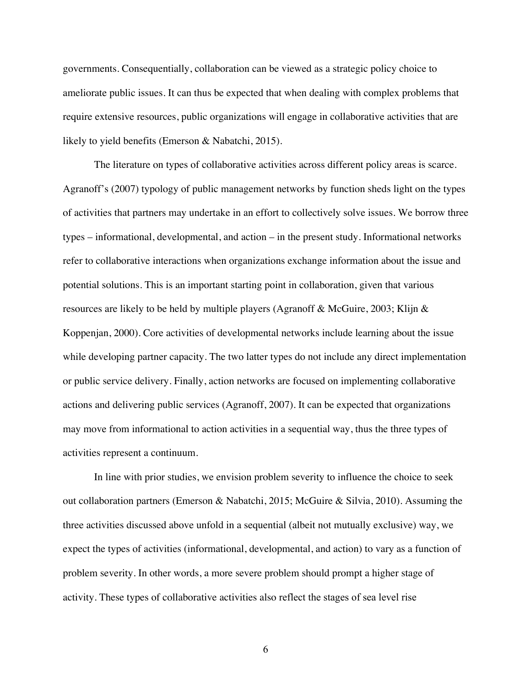governments. Consequentially, collaboration can be viewed as a strategic policy choice to ameliorate public issues. It can thus be expected that when dealing with complex problems that require extensive resources, public organizations will engage in collaborative activities that are likely to yield benefits (Emerson & Nabatchi, 2015).

The literature on types of collaborative activities across different policy areas is scarce. Agranoff's (2007) typology of public management networks by function sheds light on the types of activities that partners may undertake in an effort to collectively solve issues. We borrow three types – informational, developmental, and action – in the present study. Informational networks refer to collaborative interactions when organizations exchange information about the issue and potential solutions. This is an important starting point in collaboration, given that various resources are likely to be held by multiple players (Agranoff & McGuire, 2003; Klijn & Koppenjan, 2000). Core activities of developmental networks include learning about the issue while developing partner capacity. The two latter types do not include any direct implementation or public service delivery. Finally, action networks are focused on implementing collaborative actions and delivering public services (Agranoff, 2007). It can be expected that organizations may move from informational to action activities in a sequential way, thus the three types of activities represent a continuum.

In line with prior studies, we envision problem severity to influence the choice to seek out collaboration partners (Emerson & Nabatchi, 2015; McGuire & Silvia, 2010). Assuming the three activities discussed above unfold in a sequential (albeit not mutually exclusive) way, we expect the types of activities (informational, developmental, and action) to vary as a function of problem severity. In other words, a more severe problem should prompt a higher stage of activity. These types of collaborative activities also reflect the stages of sea level rise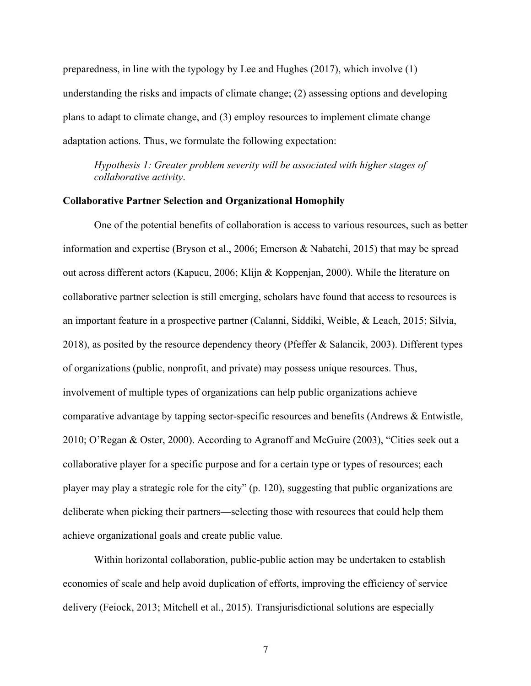preparedness, in line with the typology by Lee and Hughes (2017), which involve (1) understanding the risks and impacts of climate change; (2) assessing options and developing plans to adapt to climate change, and (3) employ resources to implement climate change adaptation actions. Thus, we formulate the following expectation:

*Hypothesis 1: Greater problem severity will be associated with higher stages of collaborative activity*.

#### **Collaborative Partner Selection and Organizational Homophily**

One of the potential benefits of collaboration is access to various resources, such as better information and expertise (Bryson et al., 2006; Emerson & Nabatchi, 2015) that may be spread out across different actors (Kapucu, 2006; Klijn & Koppenjan, 2000). While the literature on collaborative partner selection is still emerging, scholars have found that access to resources is an important feature in a prospective partner (Calanni, Siddiki, Weible, & Leach, 2015; Silvia, 2018), as posited by the resource dependency theory (Pfeffer & Salancik, 2003). Different types of organizations (public, nonprofit, and private) may possess unique resources. Thus, involvement of multiple types of organizations can help public organizations achieve comparative advantage by tapping sector-specific resources and benefits (Andrews & Entwistle, 2010; O'Regan & Oster, 2000). According to Agranoff and McGuire (2003), "Cities seek out a collaborative player for a specific purpose and for a certain type or types of resources; each player may play a strategic role for the city" (p. 120), suggesting that public organizations are deliberate when picking their partners—selecting those with resources that could help them achieve organizational goals and create public value.

Within horizontal collaboration, public-public action may be undertaken to establish economies of scale and help avoid duplication of efforts, improving the efficiency of service delivery (Feiock, 2013; Mitchell et al., 2015). Transjurisdictional solutions are especially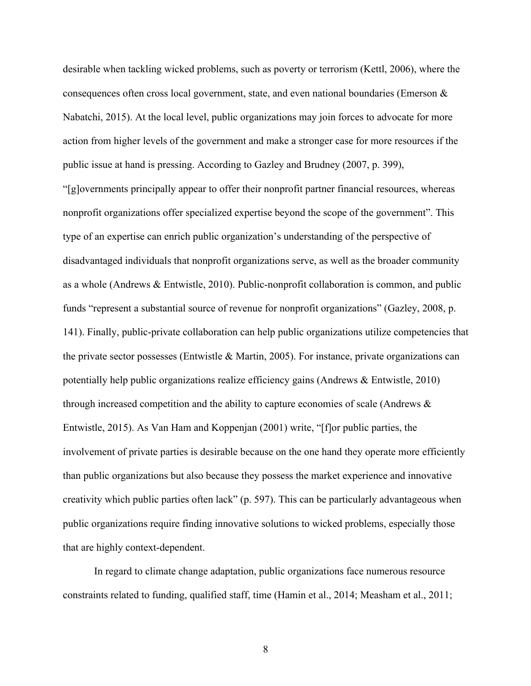desirable when tackling wicked problems, such as poverty or terrorism (Kettl, 2006), where the consequences often cross local government, state, and even national boundaries (Emerson & Nabatchi, 2015). At the local level, public organizations may join forces to advocate for more action from higher levels of the government and make a stronger case for more resources if the public issue at hand is pressing. According to Gazley and Brudney (2007, p. 399),

"[g]overnments principally appear to offer their nonprofit partner financial resources, whereas nonprofit organizations offer specialized expertise beyond the scope of the government". This type of an expertise can enrich public organization's understanding of the perspective of disadvantaged individuals that nonprofit organizations serve, as well as the broader community as a whole (Andrews & Entwistle, 2010). Public-nonprofit collaboration is common, and public funds "represent a substantial source of revenue for nonprofit organizations" (Gazley, 2008, p. 141). Finally, public-private collaboration can help public organizations utilize competencies that the private sector possesses (Entwistle & Martin, 2005). For instance, private organizations can potentially help public organizations realize efficiency gains (Andrews & Entwistle, 2010) through increased competition and the ability to capture economies of scale (Andrews & Entwistle, 2015). As Van Ham and Koppenjan (2001) write, "[f]or public parties, the involvement of private parties is desirable because on the one hand they operate more efficiently than public organizations but also because they possess the market experience and innovative creativity which public parties often lack" (p. 597). This can be particularly advantageous when public organizations require finding innovative solutions to wicked problems, especially those that are highly context-dependent.

In regard to climate change adaptation, public organizations face numerous resource constraints related to funding, qualified staff, time (Hamin et al., 2014; Measham et al., 2011;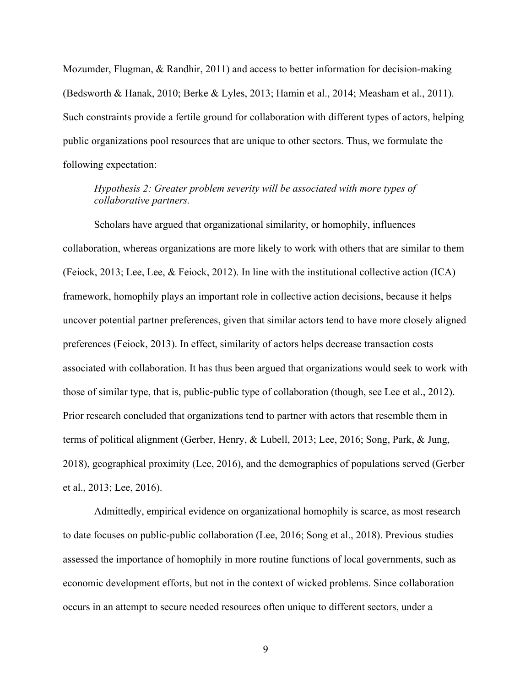Mozumder, Flugman, & Randhir, 2011) and access to better information for decision-making (Bedsworth & Hanak, 2010; Berke & Lyles, 2013; Hamin et al., 2014; Measham et al., 2011). Such constraints provide a fertile ground for collaboration with different types of actors, helping public organizations pool resources that are unique to other sectors. Thus, we formulate the following expectation:

# *Hypothesis 2: Greater problem severity will be associated with more types of collaborative partners.*

Scholars have argued that organizational similarity, or homophily, influences collaboration, whereas organizations are more likely to work with others that are similar to them (Feiock, 2013; Lee, Lee, & Feiock, 2012). In line with the institutional collective action (ICA) framework, homophily plays an important role in collective action decisions, because it helps uncover potential partner preferences, given that similar actors tend to have more closely aligned preferences (Feiock, 2013). In effect, similarity of actors helps decrease transaction costs associated with collaboration. It has thus been argued that organizations would seek to work with those of similar type, that is, public-public type of collaboration (though, see Lee et al., 2012). Prior research concluded that organizations tend to partner with actors that resemble them in terms of political alignment (Gerber, Henry, & Lubell, 2013; Lee, 2016; Song, Park, & Jung, 2018), geographical proximity (Lee, 2016), and the demographics of populations served (Gerber et al., 2013; Lee, 2016).

Admittedly, empirical evidence on organizational homophily is scarce, as most research to date focuses on public-public collaboration (Lee, 2016; Song et al., 2018). Previous studies assessed the importance of homophily in more routine functions of local governments, such as economic development efforts, but not in the context of wicked problems. Since collaboration occurs in an attempt to secure needed resources often unique to different sectors, under a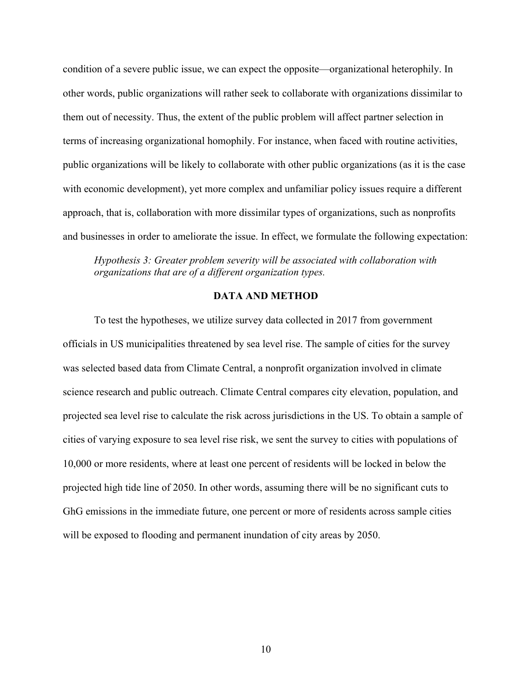condition of a severe public issue, we can expect the opposite—organizational heterophily. In other words, public organizations will rather seek to collaborate with organizations dissimilar to them out of necessity. Thus, the extent of the public problem will affect partner selection in terms of increasing organizational homophily. For instance, when faced with routine activities, public organizations will be likely to collaborate with other public organizations (as it is the case with economic development), yet more complex and unfamiliar policy issues require a different approach, that is, collaboration with more dissimilar types of organizations, such as nonprofits and businesses in order to ameliorate the issue. In effect, we formulate the following expectation:

*Hypothesis 3: Greater problem severity will be associated with collaboration with organizations that are of a different organization types.*

## **DATA AND METHOD**

To test the hypotheses, we utilize survey data collected in 2017 from government officials in US municipalities threatened by sea level rise. The sample of cities for the survey was selected based data from Climate Central, a nonprofit organization involved in climate science research and public outreach. Climate Central compares city elevation, population, and projected sea level rise to calculate the risk across jurisdictions in the US. To obtain a sample of cities of varying exposure to sea level rise risk, we sent the survey to cities with populations of 10,000 or more residents, where at least one percent of residents will be locked in below the projected high tide line of 2050. In other words, assuming there will be no significant cuts to GhG emissions in the immediate future, one percent or more of residents across sample cities will be exposed to flooding and permanent inundation of city areas by 2050.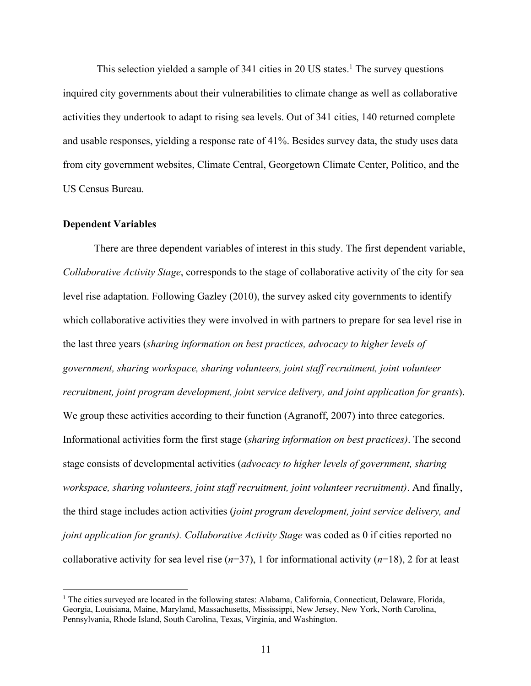This selection yielded a sample of  $341$  cities in 20 US states.<sup>1</sup> The survey questions inquired city governments about their vulnerabilities to climate change as well as collaborative activities they undertook to adapt to rising sea levels. Out of 341 cities, 140 returned complete and usable responses, yielding a response rate of 41%. Besides survey data, the study uses data from city government websites, Climate Central, Georgetown Climate Center, Politico, and the US Census Bureau.

### **Dependent Variables**

There are three dependent variables of interest in this study. The first dependent variable, *Collaborative Activity Stage*, corresponds to the stage of collaborative activity of the city for sea level rise adaptation. Following Gazley (2010), the survey asked city governments to identify which collaborative activities they were involved in with partners to prepare for sea level rise in the last three years (*sharing information on best practices, advocacy to higher levels of government, sharing workspace, sharing volunteers, joint staff recruitment, joint volunteer recruitment, joint program development, joint service delivery, and joint application for grants*). We group these activities according to their function (Agranoff, 2007) into three categories. Informational activities form the first stage (*sharing information on best practices)*. The second stage consists of developmental activities (*advocacy to higher levels of government, sharing workspace, sharing volunteers, joint staff recruitment, joint volunteer recruitment)*. And finally, the third stage includes action activities (*joint program development, joint service delivery, and joint application for grants). Collaborative Activity Stage* was coded as 0 if cities reported no collaborative activity for sea level rise  $(n=37)$ , 1 for informational activity  $(n=18)$ , 2 for at least

<sup>&</sup>lt;sup>1</sup> The cities surveyed are located in the following states: Alabama, California, Connecticut, Delaware, Florida, Georgia, Louisiana, Maine, Maryland, Massachusetts, Mississippi, New Jersey, New York, North Carolina, Pennsylvania, Rhode Island, South Carolina, Texas, Virginia, and Washington.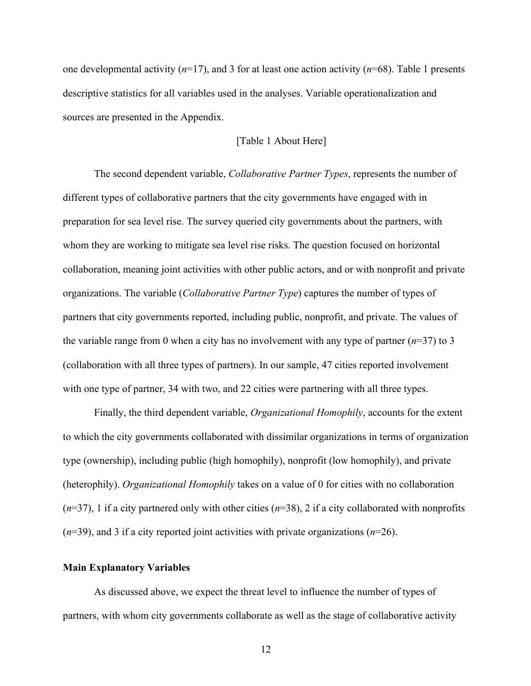one developmental activity (*n*=17), and 3 for at least one action activity (*n*=68). Table 1 presents descriptive statistics for all variables used in the analyses. Variable operationalization and sources are presented in the Appendix.

#### [Table 1 About Here]

The second dependent variable, *Collaborative Partner Types*, represents the number of different types of collaborative partners that the city governments have engaged with in preparation for sea level rise. The survey queried city governments about the partners, with whom they are working to mitigate sea level rise risks. The question focused on horizontal collaboration, meaning joint activities with other public actors, and or with nonprofit and private organizations. The variable (*Collaborative Partner Type*) captures the number of types of partners that city governments reported, including public, nonprofit, and private. The values of the variable range from 0 when a city has no involvement with any type of partner  $(n=37)$  to 3 (collaboration with all three types of partners). In our sample, 47 cities reported involvement with one type of partner, 34 with two, and 22 cities were partnering with all three types.

Finally, the third dependent variable, *Organizational Homophily*, accounts for the extent to which the city governments collaborated with dissimilar organizations in terms of organization type (ownership), including public (high homophily), nonprofit (low homophily), and private (heterophily). *Organizational Homophily* takes on a value of 0 for cities with no collaboration  $(n=37)$ , 1 if a city partnered only with other cities  $(n=38)$ , 2 if a city collaborated with nonprofits (*n*=39), and 3 if a city reported joint activities with private organizations (*n*=26).

#### **Main Explanatory Variables**

As discussed above, we expect the threat level to influence the number of types of partners, with whom city governments collaborate as well as the stage of collaborative activity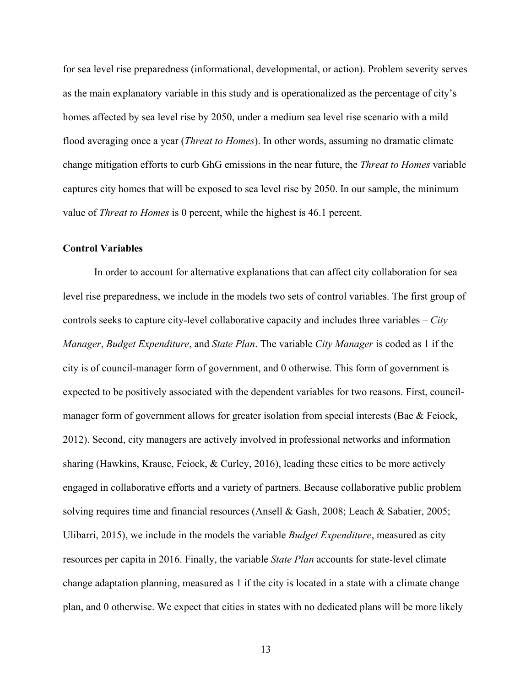for sea level rise preparedness (informational, developmental, or action). Problem severity serves as the main explanatory variable in this study and is operationalized as the percentage of city's homes affected by sea level rise by 2050, under a medium sea level rise scenario with a mild flood averaging once a year (*Threat to Homes*). In other words, assuming no dramatic climate change mitigation efforts to curb GhG emissions in the near future, the *Threat to Homes* variable captures city homes that will be exposed to sea level rise by 2050. In our sample, the minimum value of *Threat to Homes* is 0 percent, while the highest is 46.1 percent.

## **Control Variables**

In order to account for alternative explanations that can affect city collaboration for sea level rise preparedness, we include in the models two sets of control variables. The first group of controls seeks to capture city-level collaborative capacity and includes three variables – *City Manager*, *Budget Expenditure*, and *State Plan*. The variable *City Manager* is coded as 1 if the city is of council-manager form of government, and 0 otherwise. This form of government is expected to be positively associated with the dependent variables for two reasons. First, councilmanager form of government allows for greater isolation from special interests (Bae & Feiock, 2012). Second, city managers are actively involved in professional networks and information sharing (Hawkins, Krause, Feiock, & Curley, 2016), leading these cities to be more actively engaged in collaborative efforts and a variety of partners. Because collaborative public problem solving requires time and financial resources (Ansell & Gash, 2008; Leach & Sabatier, 2005; Ulibarri, 2015), we include in the models the variable *Budget Expenditure*, measured as city resources per capita in 2016. Finally, the variable *State Plan* accounts for state-level climate change adaptation planning, measured as 1 if the city is located in a state with a climate change plan, and 0 otherwise. We expect that cities in states with no dedicated plans will be more likely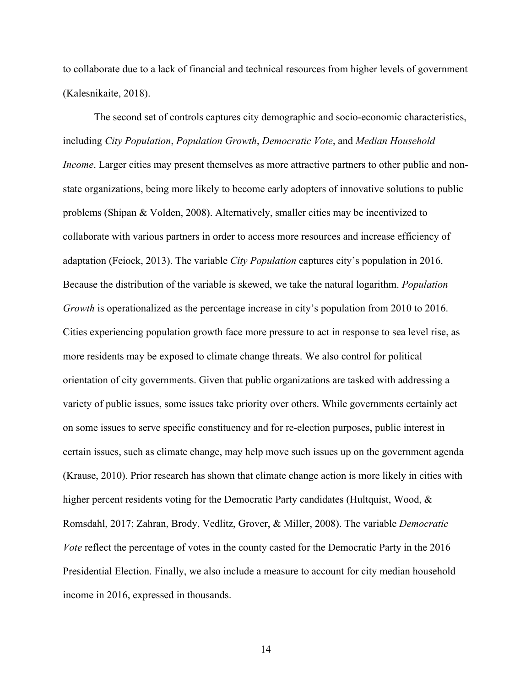to collaborate due to a lack of financial and technical resources from higher levels of government (Kalesnikaite, 2018).

The second set of controls captures city demographic and socio-economic characteristics, including *City Population*, *Population Growth*, *Democratic Vote*, and *Median Household Income*. Larger cities may present themselves as more attractive partners to other public and nonstate organizations, being more likely to become early adopters of innovative solutions to public problems (Shipan & Volden, 2008). Alternatively, smaller cities may be incentivized to collaborate with various partners in order to access more resources and increase efficiency of adaptation (Feiock, 2013). The variable *City Population* captures city's population in 2016. Because the distribution of the variable is skewed, we take the natural logarithm. *Population Growth* is operationalized as the percentage increase in city's population from 2010 to 2016. Cities experiencing population growth face more pressure to act in response to sea level rise, as more residents may be exposed to climate change threats. We also control for political orientation of city governments. Given that public organizations are tasked with addressing a variety of public issues, some issues take priority over others. While governments certainly act on some issues to serve specific constituency and for re-election purposes, public interest in certain issues, such as climate change, may help move such issues up on the government agenda (Krause, 2010). Prior research has shown that climate change action is more likely in cities with higher percent residents voting for the Democratic Party candidates (Hultquist, Wood, & Romsdahl, 2017; Zahran, Brody, Vedlitz, Grover, & Miller, 2008). The variable *Democratic Vote* reflect the percentage of votes in the county casted for the Democratic Party in the 2016 Presidential Election. Finally, we also include a measure to account for city median household income in 2016, expressed in thousands.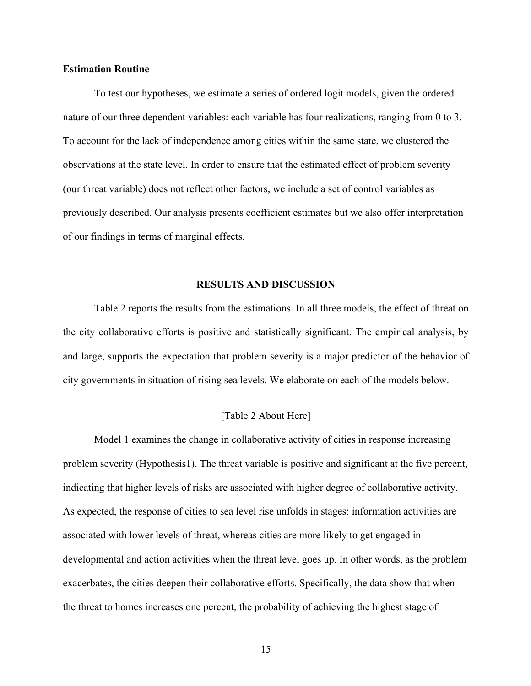## **Estimation Routine**

To test our hypotheses, we estimate a series of ordered logit models, given the ordered nature of our three dependent variables: each variable has four realizations, ranging from 0 to 3. To account for the lack of independence among cities within the same state, we clustered the observations at the state level. In order to ensure that the estimated effect of problem severity (our threat variable) does not reflect other factors, we include a set of control variables as previously described. Our analysis presents coefficient estimates but we also offer interpretation of our findings in terms of marginal effects.

### **RESULTS AND DISCUSSION**

Table 2 reports the results from the estimations. In all three models, the effect of threat on the city collaborative efforts is positive and statistically significant. The empirical analysis, by and large, supports the expectation that problem severity is a major predictor of the behavior of city governments in situation of rising sea levels. We elaborate on each of the models below.

## [Table 2 About Here]

Model 1 examines the change in collaborative activity of cities in response increasing problem severity (Hypothesis1). The threat variable is positive and significant at the five percent, indicating that higher levels of risks are associated with higher degree of collaborative activity. As expected, the response of cities to sea level rise unfolds in stages: information activities are associated with lower levels of threat, whereas cities are more likely to get engaged in developmental and action activities when the threat level goes up. In other words, as the problem exacerbates, the cities deepen their collaborative efforts. Specifically, the data show that when the threat to homes increases one percent, the probability of achieving the highest stage of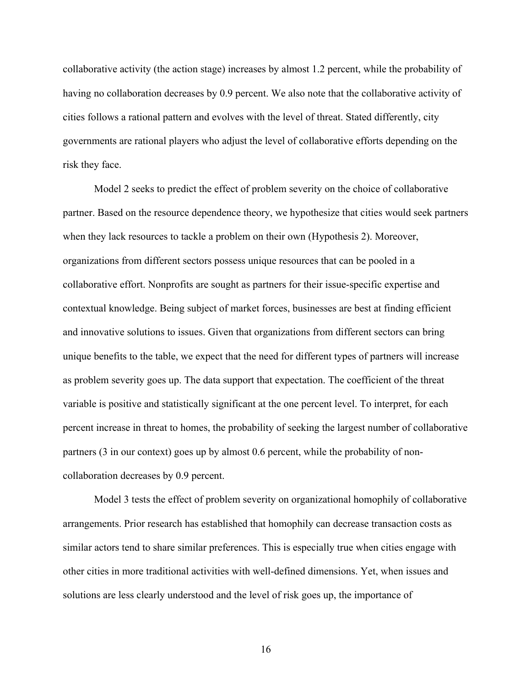collaborative activity (the action stage) increases by almost 1.2 percent, while the probability of having no collaboration decreases by 0.9 percent. We also note that the collaborative activity of cities follows a rational pattern and evolves with the level of threat. Stated differently, city governments are rational players who adjust the level of collaborative efforts depending on the risk they face.

Model 2 seeks to predict the effect of problem severity on the choice of collaborative partner. Based on the resource dependence theory, we hypothesize that cities would seek partners when they lack resources to tackle a problem on their own (Hypothesis 2). Moreover, organizations from different sectors possess unique resources that can be pooled in a collaborative effort. Nonprofits are sought as partners for their issue-specific expertise and contextual knowledge. Being subject of market forces, businesses are best at finding efficient and innovative solutions to issues. Given that organizations from different sectors can bring unique benefits to the table, we expect that the need for different types of partners will increase as problem severity goes up. The data support that expectation. The coefficient of the threat variable is positive and statistically significant at the one percent level. To interpret, for each percent increase in threat to homes, the probability of seeking the largest number of collaborative partners (3 in our context) goes up by almost 0.6 percent, while the probability of noncollaboration decreases by 0.9 percent.

Model 3 tests the effect of problem severity on organizational homophily of collaborative arrangements. Prior research has established that homophily can decrease transaction costs as similar actors tend to share similar preferences. This is especially true when cities engage with other cities in more traditional activities with well-defined dimensions. Yet, when issues and solutions are less clearly understood and the level of risk goes up, the importance of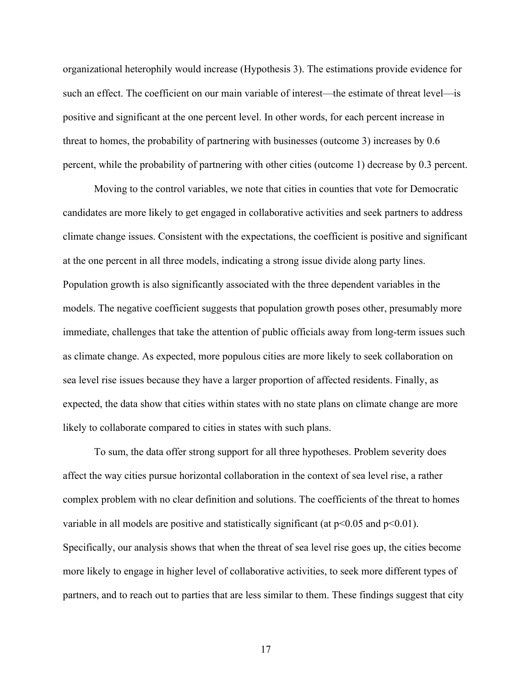organizational heterophily would increase (Hypothesis 3). The estimations provide evidence for such an effect. The coefficient on our main variable of interest—the estimate of threat level—is positive and significant at the one percent level. In other words, for each percent increase in threat to homes, the probability of partnering with businesses (outcome 3) increases by 0.6 percent, while the probability of partnering with other cities (outcome 1) decrease by 0.3 percent.

Moving to the control variables, we note that cities in counties that vote for Democratic candidates are more likely to get engaged in collaborative activities and seek partners to address climate change issues. Consistent with the expectations, the coefficient is positive and significant at the one percent in all three models, indicating a strong issue divide along party lines. Population growth is also significantly associated with the three dependent variables in the models. The negative coefficient suggests that population growth poses other, presumably more immediate, challenges that take the attention of public officials away from long-term issues such as climate change. As expected, more populous cities are more likely to seek collaboration on sea level rise issues because they have a larger proportion of affected residents. Finally, as expected, the data show that cities within states with no state plans on climate change are more likely to collaborate compared to cities in states with such plans.

To sum, the data offer strong support for all three hypotheses. Problem severity does affect the way cities pursue horizontal collaboration in the context of sea level rise, a rather complex problem with no clear definition and solutions. The coefficients of the threat to homes variable in all models are positive and statistically significant (at  $p<0.05$  and  $p<0.01$ ). Specifically, our analysis shows that when the threat of sea level rise goes up, the cities become more likely to engage in higher level of collaborative activities, to seek more different types of partners, and to reach out to parties that are less similar to them. These findings suggest that city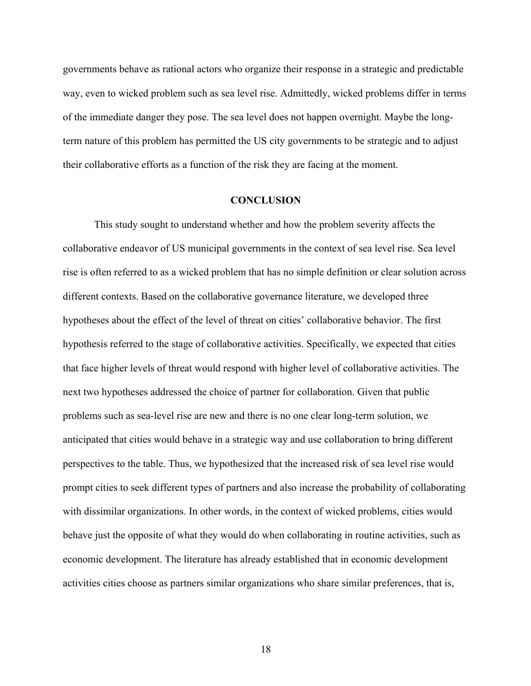governments behave as rational actors who organize their response in a strategic and predictable way, even to wicked problem such as sea level rise. Admittedly, wicked problems differ in terms of the immediate danger they pose. The sea level does not happen overnight. Maybe the longterm nature of this problem has permitted the US city governments to be strategic and to adjust their collaborative efforts as a function of the risk they are facing at the moment.

## **CONCLUSION**

This study sought to understand whether and how the problem severity affects the collaborative endeavor of US municipal governments in the context of sea level rise. Sea level rise is often referred to as a wicked problem that has no simple definition or clear solution across different contexts. Based on the collaborative governance literature, we developed three hypotheses about the effect of the level of threat on cities' collaborative behavior. The first hypothesis referred to the stage of collaborative activities. Specifically, we expected that cities that face higher levels of threat would respond with higher level of collaborative activities. The next two hypotheses addressed the choice of partner for collaboration. Given that public problems such as sea-level rise are new and there is no one clear long-term solution, we anticipated that cities would behave in a strategic way and use collaboration to bring different perspectives to the table. Thus, we hypothesized that the increased risk of sea level rise would prompt cities to seek different types of partners and also increase the probability of collaborating with dissimilar organizations. In other words, in the context of wicked problems, cities would behave just the opposite of what they would do when collaborating in routine activities, such as economic development. The literature has already established that in economic development activities cities choose as partners similar organizations who share similar preferences, that is,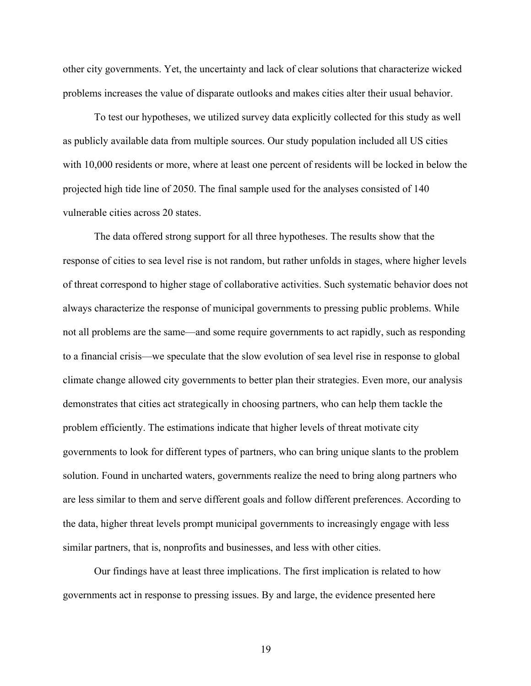other city governments. Yet, the uncertainty and lack of clear solutions that characterize wicked problems increases the value of disparate outlooks and makes cities alter their usual behavior.

To test our hypotheses, we utilized survey data explicitly collected for this study as well as publicly available data from multiple sources. Our study population included all US cities with 10,000 residents or more, where at least one percent of residents will be locked in below the projected high tide line of 2050. The final sample used for the analyses consisted of 140 vulnerable cities across 20 states.

The data offered strong support for all three hypotheses. The results show that the response of cities to sea level rise is not random, but rather unfolds in stages, where higher levels of threat correspond to higher stage of collaborative activities. Such systematic behavior does not always characterize the response of municipal governments to pressing public problems. While not all problems are the same—and some require governments to act rapidly, such as responding to a financial crisis—we speculate that the slow evolution of sea level rise in response to global climate change allowed city governments to better plan their strategies. Even more, our analysis demonstrates that cities act strategically in choosing partners, who can help them tackle the problem efficiently. The estimations indicate that higher levels of threat motivate city governments to look for different types of partners, who can bring unique slants to the problem solution. Found in uncharted waters, governments realize the need to bring along partners who are less similar to them and serve different goals and follow different preferences. According to the data, higher threat levels prompt municipal governments to increasingly engage with less similar partners, that is, nonprofits and businesses, and less with other cities.

Our findings have at least three implications. The first implication is related to how governments act in response to pressing issues. By and large, the evidence presented here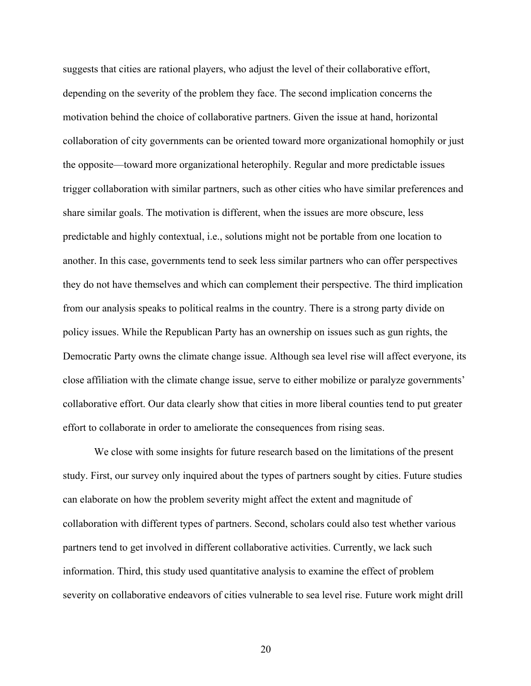suggests that cities are rational players, who adjust the level of their collaborative effort, depending on the severity of the problem they face. The second implication concerns the motivation behind the choice of collaborative partners. Given the issue at hand, horizontal collaboration of city governments can be oriented toward more organizational homophily or just the opposite—toward more organizational heterophily. Regular and more predictable issues trigger collaboration with similar partners, such as other cities who have similar preferences and share similar goals. The motivation is different, when the issues are more obscure, less predictable and highly contextual, i.e., solutions might not be portable from one location to another. In this case, governments tend to seek less similar partners who can offer perspectives they do not have themselves and which can complement their perspective. The third implication from our analysis speaks to political realms in the country. There is a strong party divide on policy issues. While the Republican Party has an ownership on issues such as gun rights, the Democratic Party owns the climate change issue. Although sea level rise will affect everyone, its close affiliation with the climate change issue, serve to either mobilize or paralyze governments' collaborative effort. Our data clearly show that cities in more liberal counties tend to put greater effort to collaborate in order to ameliorate the consequences from rising seas.

We close with some insights for future research based on the limitations of the present study. First, our survey only inquired about the types of partners sought by cities. Future studies can elaborate on how the problem severity might affect the extent and magnitude of collaboration with different types of partners. Second, scholars could also test whether various partners tend to get involved in different collaborative activities. Currently, we lack such information. Third, this study used quantitative analysis to examine the effect of problem severity on collaborative endeavors of cities vulnerable to sea level rise. Future work might drill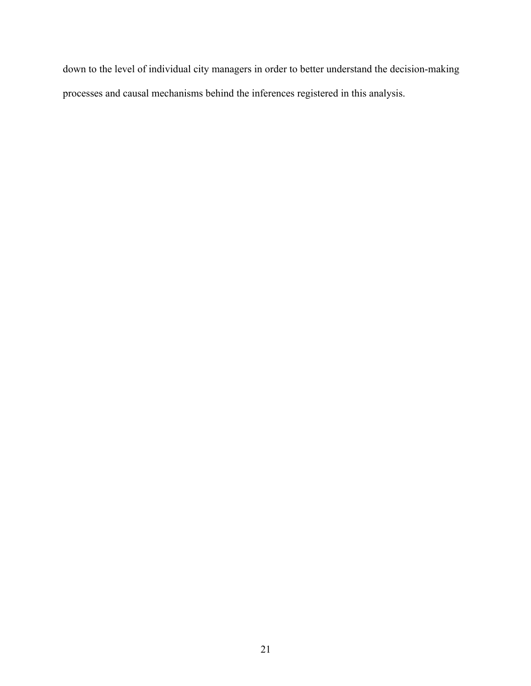down to the level of individual city managers in order to better understand the decision-making processes and causal mechanisms behind the inferences registered in this analysis.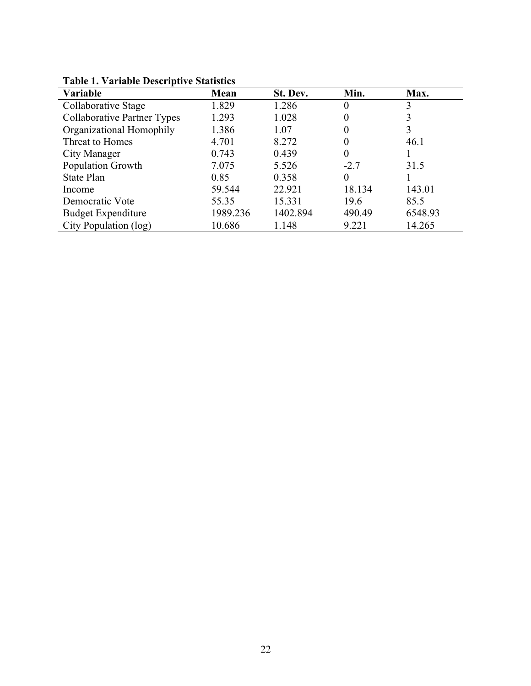| Variable                           | Mean     | St. Dev. | Min.   | Max.    |
|------------------------------------|----------|----------|--------|---------|
| Collaborative Stage                | 1.829    | 1.286    | 0      | 3       |
| <b>Collaborative Partner Types</b> | 1.293    | 1.028    |        |         |
| Organizational Homophily           | 1.386    | 1.07     |        | 3       |
| Threat to Homes                    | 4.701    | 8.272    |        | 46.1    |
| City Manager                       | 0.743    | 0.439    |        |         |
| Population Growth                  | 7.075    | 5.526    | $-2.7$ | 31.5    |
| State Plan                         | 0.85     | 0.358    | 0      |         |
| Income                             | 59.544   | 22.921   | 18.134 | 143.01  |
| Democratic Vote                    | 55.35    | 15.331   | 19.6   | 85.5    |
| <b>Budget Expenditure</b>          | 1989.236 | 1402.894 | 490.49 | 6548.93 |
| City Population (log)              | 10.686   | 1.148    | 9.221  | 14.265  |

**Table 1. Variable Descriptive Statistics**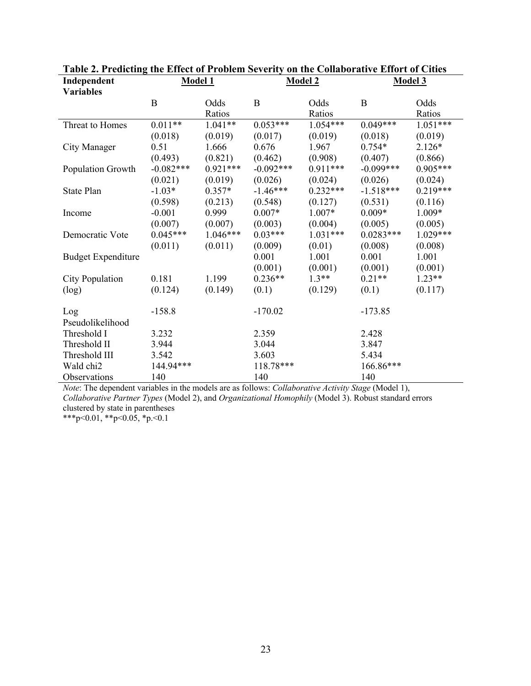| Table 2. I reacting the Effect of Froblem Severity on the Comaborative Effort of Cities<br>Independent |             | <b>Model 1</b> |             | <b>Model 2</b> |             | Model 3    |
|--------------------------------------------------------------------------------------------------------|-------------|----------------|-------------|----------------|-------------|------------|
| <b>Variables</b>                                                                                       |             |                |             |                |             |            |
|                                                                                                        | $\bf{B}$    | Odds           | B           | Odds           | B           | Odds       |
|                                                                                                        |             | Ratios         |             | Ratios         |             | Ratios     |
| Threat to Homes                                                                                        | $0.011**$   | $1.041**$      | $0.053***$  | $1.054***$     | $0.049***$  | $1.051***$ |
|                                                                                                        | (0.018)     | (0.019)        | (0.017)     | (0.019)        | (0.018)     | (0.019)    |
| City Manager                                                                                           | 0.51        | 1.666          | 0.676       | 1.967          | $0.754*$    | $2.126*$   |
|                                                                                                        | (0.493)     | (0.821)        | (0.462)     | (0.908)        | (0.407)     | (0.866)    |
| Population Growth                                                                                      | $-0.082***$ | $0.921***$     | $-0.092***$ | $0.911***$     | $-0.099***$ | $0.905***$ |
|                                                                                                        | (0.021)     | (0.019)        | (0.026)     | (0.024)        | (0.026)     | (0.024)    |
| State Plan                                                                                             | $-1.03*$    | $0.357*$       | $-1.46***$  | $0.232***$     | $-1.518***$ | $0.219***$ |
|                                                                                                        | (0.598)     | (0.213)        | (0.548)     | (0.127)        | (0.531)     | (0.116)    |
| Income                                                                                                 | $-0.001$    | 0.999          | $0.007*$    | 1.007*         | $0.009*$    | 1.009*     |
|                                                                                                        | (0.007)     | (0.007)        | (0.003)     | (0.004)        | (0.005)     | (0.005)    |
| Democratic Vote                                                                                        | $0.045***$  | $1.046***$     | $0.03***$   | $1.031***$     | $0.0283***$ | $1.029***$ |
|                                                                                                        | (0.011)     | (0.011)        | (0.009)     | (0.01)         | (0.008)     | (0.008)    |
| <b>Budget Expenditure</b>                                                                              |             |                | 0.001       | 1.001          | 0.001       | 1.001      |
|                                                                                                        |             |                | (0.001)     | (0.001)        | (0.001)     | (0.001)    |
| <b>City Population</b>                                                                                 | 0.181       | 1.199          | $0.236**$   | $1.3**$        | $0.21**$    | $1.23**$   |
| (log)                                                                                                  | (0.124)     | (0.149)        | (0.1)       | (0.129)        | (0.1)       | (0.117)    |
| Log                                                                                                    | $-158.8$    |                | $-170.02$   |                | $-173.85$   |            |
| Pseudolikelihood                                                                                       |             |                |             |                |             |            |
| Threshold I                                                                                            | 3.232       |                | 2.359       |                | 2.428       |            |
| Threshold II                                                                                           | 3.944       |                | 3.044       |                | 3.847       |            |
| Threshold III                                                                                          | 3.542       |                | 3.603       |                | 5.434       |            |
| Wald chi2                                                                                              | 144.94***   |                | 118.78***   |                | 166.86***   |            |
| Observations                                                                                           | 140         |                | 140         |                | 140         |            |

| Table 2. Predicting the Effect of Problem Severity on the Collaborative Effort of Cities |
|------------------------------------------------------------------------------------------|
|------------------------------------------------------------------------------------------|

*Note*: The dependent variables in the models are as follows: *Collaborative Activity Stage* (Model 1), *Collaborative Partner Types* (Model 2), and *Organizational Homophily* (Model 3). Robust standard errors clustered by state in parentheses

\*\*\*p<0.01, \*\*p<0.05, \*p.<0.1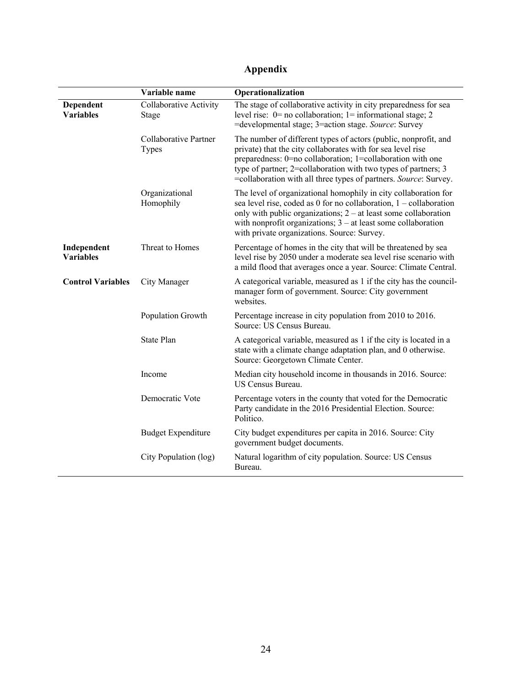# **Appendix**

|                                 | Variable name                   | Operationalization                                                                                                                                                                                                                                                                                                                 |
|---------------------------------|---------------------------------|------------------------------------------------------------------------------------------------------------------------------------------------------------------------------------------------------------------------------------------------------------------------------------------------------------------------------------|
| Dependent<br><b>Variables</b>   | Collaborative Activity<br>Stage | The stage of collaborative activity in city preparedness for sea<br>level rise: $0=$ no collaboration; $1=$ informational stage; 2<br>=developmental stage; 3=action stage. Source: Survey                                                                                                                                         |
|                                 | Collaborative Partner<br>Types  | The number of different types of actors (public, nonprofit, and<br>private) that the city collaborates with for sea level rise<br>preparedness: 0=no collaboration; 1=collaboration with one<br>type of partner; 2=collaboration with two types of partners; 3<br>=collaboration with all three types of partners. Source: Survey. |
|                                 | Organizational<br>Homophily     | The level of organizational homophily in city collaboration for<br>sea level rise, coded as $0$ for no collaboration, $1$ – collaboration<br>only with public organizations; $2 - at$ least some collaboration<br>with nonprofit organizations; $3 - at$ least some collaboration<br>with private organizations. Source: Survey.   |
| Independent<br><b>Variables</b> | Threat to Homes                 | Percentage of homes in the city that will be threatened by sea<br>level rise by 2050 under a moderate sea level rise scenario with<br>a mild flood that averages once a year. Source: Climate Central.                                                                                                                             |
| <b>Control Variables</b>        | City Manager                    | A categorical variable, measured as 1 if the city has the council-<br>manager form of government. Source: City government<br>websites.                                                                                                                                                                                             |
|                                 | Population Growth               | Percentage increase in city population from 2010 to 2016.<br>Source: US Census Bureau.                                                                                                                                                                                                                                             |
|                                 | <b>State Plan</b>               | A categorical variable, measured as 1 if the city is located in a<br>state with a climate change adaptation plan, and 0 otherwise.<br>Source: Georgetown Climate Center.                                                                                                                                                           |
|                                 | Income                          | Median city household income in thousands in 2016. Source:<br>US Census Bureau.                                                                                                                                                                                                                                                    |
|                                 | Democratic Vote                 | Percentage voters in the county that voted for the Democratic<br>Party candidate in the 2016 Presidential Election. Source:<br>Politico.                                                                                                                                                                                           |
|                                 | <b>Budget Expenditure</b>       | City budget expenditures per capita in 2016. Source: City<br>government budget documents.                                                                                                                                                                                                                                          |
|                                 | City Population (log)           | Natural logarithm of city population. Source: US Census<br>Bureau.                                                                                                                                                                                                                                                                 |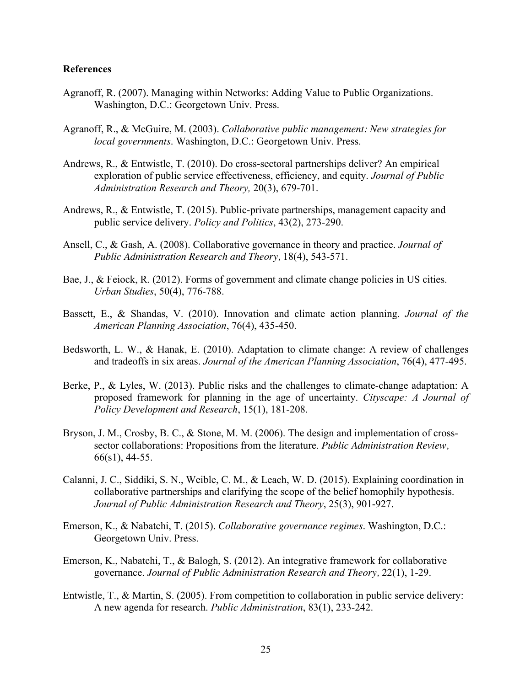## **References**

- Agranoff, R. (2007). Managing within Networks: Adding Value to Public Organizations. Washington, D.C.: Georgetown Univ. Press.
- Agranoff, R., & McGuire, M. (2003). *Collaborative public management: New strategies for local governments*. Washington, D.C.: Georgetown Univ. Press.
- Andrews, R., & Entwistle, T. (2010). Do cross-sectoral partnerships deliver? An empirical exploration of public service effectiveness, efficiency, and equity. *Journal of Public Administration Research and Theory,* 20(3), 679-701.
- Andrews, R., & Entwistle, T. (2015). Public-private partnerships, management capacity and public service delivery. *Policy and Politics*, 43(2), 273-290.
- Ansell, C., & Gash, A. (2008). Collaborative governance in theory and practice. *Journal of Public Administration Research and Theory,* 18(4), 543-571.
- Bae, J., & Feiock, R. (2012). Forms of government and climate change policies in US cities. *Urban Studies*, 50(4), 776-788.
- Bassett, E., & Shandas, V. (2010). Innovation and climate action planning. *Journal of the American Planning Association*, 76(4), 435-450.
- Bedsworth, L. W., & Hanak, E. (2010). Adaptation to climate change: A review of challenges and tradeoffs in six areas. *Journal of the American Planning Association*, 76(4), 477-495.
- Berke, P., & Lyles, W. (2013). Public risks and the challenges to climate-change adaptation: A proposed framework for planning in the age of uncertainty. *Cityscape: A Journal of Policy Development and Research*, 15(1), 181-208.
- Bryson, J. M., Crosby, B. C., & Stone, M. M. (2006). The design and implementation of crosssector collaborations: Propositions from the literature. *Public Administration Review,* 66(s1), 44-55.
- Calanni, J. C., Siddiki, S. N., Weible, C. M., & Leach, W. D. (2015). Explaining coordination in collaborative partnerships and clarifying the scope of the belief homophily hypothesis. *Journal of Public Administration Research and Theory*, 25(3), 901-927.
- Emerson, K., & Nabatchi, T. (2015). *Collaborative governance regimes*. Washington, D.C.: Georgetown Univ. Press.
- Emerson, K., Nabatchi, T., & Balogh, S. (2012). An integrative framework for collaborative governance. *Journal of Public Administration Research and Theory,* 22(1), 1-29.
- Entwistle, T., & Martin, S. (2005). From competition to collaboration in public service delivery: A new agenda for research. *Public Administration*, 83(1), 233-242.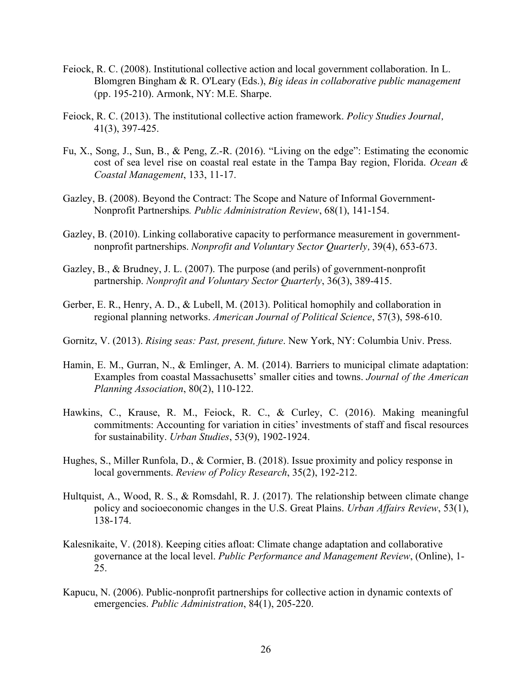- Feiock, R. C. (2008). Institutional collective action and local government collaboration. In L. Blomgren Bingham & R. O'Leary (Eds.), *Big ideas in collaborative public management*  (pp. 195-210). Armonk, NY: M.E. Sharpe.
- Feiock, R. C. (2013). The institutional collective action framework. *Policy Studies Journal,* 41(3), 397-425.
- Fu, X., Song, J., Sun, B., & Peng, Z.-R. (2016). "Living on the edge": Estimating the economic cost of sea level rise on coastal real estate in the Tampa Bay region, Florida. *Ocean & Coastal Management*, 133, 11-17.
- Gazley, B. (2008). Beyond the Contract: The Scope and Nature of Informal Government-Nonprofit Partnerships*. Public Administration Review*, 68(1), 141-154.
- Gazley, B. (2010). Linking collaborative capacity to performance measurement in governmentnonprofit partnerships. *Nonprofit and Voluntary Sector Quarterly,* 39(4), 653-673.
- Gazley, B., & Brudney, J. L. (2007). The purpose (and perils) of government-nonprofit partnership. *Nonprofit and Voluntary Sector Quarterly*, 36(3), 389-415.
- Gerber, E. R., Henry, A. D., & Lubell, M. (2013). Political homophily and collaboration in regional planning networks. *American Journal of Political Science*, 57(3), 598-610.
- Gornitz, V. (2013). *Rising seas: Past, present, future*. New York, NY: Columbia Univ. Press.
- Hamin, E. M., Gurran, N., & Emlinger, A. M. (2014). Barriers to municipal climate adaptation: Examples from coastal Massachusetts' smaller cities and towns. *Journal of the American Planning Association*, 80(2), 110-122.
- Hawkins, C., Krause, R. M., Feiock, R. C., & Curley, C. (2016). Making meaningful commitments: Accounting for variation in cities' investments of staff and fiscal resources for sustainability. *Urban Studies*, 53(9), 1902-1924.
- Hughes, S., Miller Runfola, D., & Cormier, B. (2018). Issue proximity and policy response in local governments. *Review of Policy Research*, 35(2), 192-212.
- Hultquist, A., Wood, R. S., & Romsdahl, R. J. (2017). The relationship between climate change policy and socioeconomic changes in the U.S. Great Plains. *Urban Affairs Review*, 53(1), 138-174.
- Kalesnikaite, V. (2018). Keeping cities afloat: Climate change adaptation and collaborative governance at the local level. *Public Performance and Management Review*, (Online), 1- 25.
- Kapucu, N. (2006). Public-nonprofit partnerships for collective action in dynamic contexts of emergencies. *Public Administration*, 84(1), 205-220.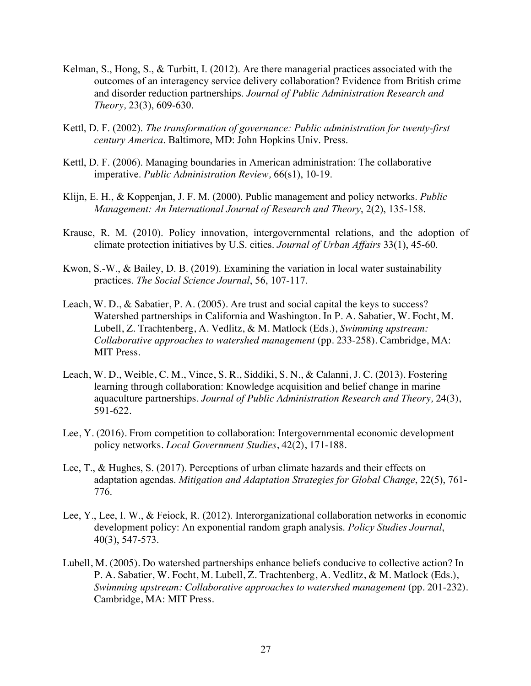- Kelman, S., Hong, S., & Turbitt, I. (2012). Are there managerial practices associated with the outcomes of an interagency service delivery collaboration? Evidence from British crime and disorder reduction partnerships. *Journal of Public Administration Research and Theory,* 23(3), 609-630.
- Kettl, D. F. (2002). *The transformation of governance: Public administration for twenty-first century America*. Baltimore, MD: John Hopkins Univ. Press.
- Kettl, D. F. (2006). Managing boundaries in American administration: The collaborative imperative. *Public Administration Review,* 66(s1), 10-19.
- Klijn, E. H., & Koppenjan, J. F. M. (2000). Public management and policy networks. *Public Management: An International Journal of Research and Theory*, 2(2), 135-158.
- Krause, R. M. (2010). Policy innovation, intergovernmental relations, and the adoption of climate protection initiatives by U.S. cities. *Journal of Urban Affairs* 33(1), 45-60.
- Kwon, S.-W., & Bailey, D. B. (2019). Examining the variation in local water sustainability practices. *The Social Science Journal*, 56, 107-117.
- Leach, W. D., & Sabatier, P. A. (2005). Are trust and social capital the keys to success? Watershed partnerships in California and Washington. In P. A. Sabatier, W. Focht, M. Lubell, Z. Trachtenberg, A. Vedlitz, & M. Matlock (Eds.), *Swimming upstream: Collaborative approaches to watershed management* (pp. 233-258). Cambridge, MA: MIT Press.
- Leach, W. D., Weible, C. M., Vince, S. R., Siddiki, S. N., & Calanni, J. C. (2013). Fostering learning through collaboration: Knowledge acquisition and belief change in marine aquaculture partnerships. *Journal of Public Administration Research and Theory,* 24(3), 591-622.
- Lee, Y. (2016). From competition to collaboration: Intergovernmental economic development policy networks. *Local Government Studies*, 42(2), 171-188.
- Lee, T., & Hughes, S. (2017). Perceptions of urban climate hazards and their effects on adaptation agendas. *Mitigation and Adaptation Strategies for Global Change*, 22(5), 761- 776.
- Lee, Y., Lee, I. W., & Feiock, R. (2012). Interorganizational collaboration networks in economic development policy: An exponential random graph analysis. *Policy Studies Journal*, 40(3), 547-573.
- Lubell, M. (2005). Do watershed partnerships enhance beliefs conducive to collective action? In P. A. Sabatier, W. Focht, M. Lubell, Z. Trachtenberg, A. Vedlitz, & M. Matlock (Eds.), *Swimming upstream: Collaborative approaches to watershed management* (pp. 201-232). Cambridge, MA: MIT Press.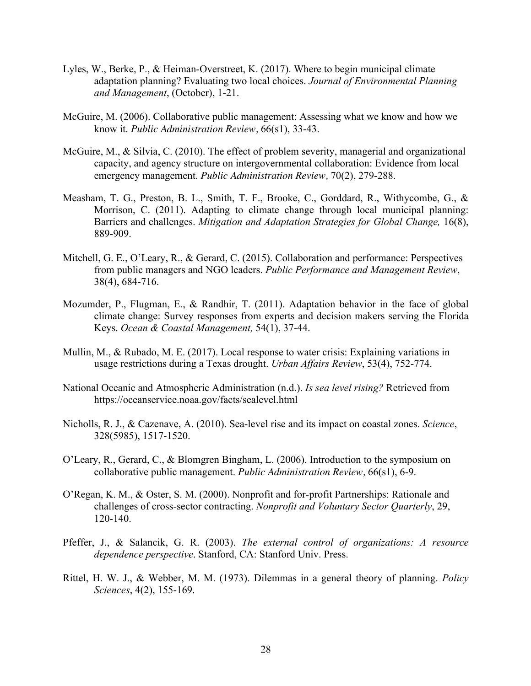- Lyles, W., Berke, P., & Heiman-Overstreet, K. (2017). Where to begin municipal climate adaptation planning? Evaluating two local choices. *Journal of Environmental Planning and Management*, (October), 1-21.
- McGuire, M. (2006). Collaborative public management: Assessing what we know and how we know it. *Public Administration Review,* 66(s1), 33-43.
- McGuire, M., & Silvia, C. (2010). The effect of problem severity, managerial and organizational capacity, and agency structure on intergovernmental collaboration: Evidence from local emergency management. *Public Administration Review,* 70(2), 279-288.
- Measham, T. G., Preston, B. L., Smith, T. F., Brooke, C., Gorddard, R., Withycombe, G., & Morrison, C. (2011). Adapting to climate change through local municipal planning: Barriers and challenges. *Mitigation and Adaptation Strategies for Global Change,* 16(8), 889-909.
- Mitchell, G. E., O'Leary, R., & Gerard, C. (2015). Collaboration and performance: Perspectives from public managers and NGO leaders. *Public Performance and Management Review*, 38(4), 684-716.
- Mozumder, P., Flugman, E., & Randhir, T. (2011). Adaptation behavior in the face of global climate change: Survey responses from experts and decision makers serving the Florida Keys. *Ocean & Coastal Management,* 54(1), 37-44.
- Mullin, M., & Rubado, M. E. (2017). Local response to water crisis: Explaining variations in usage restrictions during a Texas drought. *Urban Affairs Review*, 53(4), 752-774.
- National Oceanic and Atmospheric Administration (n.d.). *Is sea level rising?* Retrieved from https://oceanservice.noaa.gov/facts/sealevel.html
- Nicholls, R. J., & Cazenave, A. (2010). Sea-level rise and its impact on coastal zones. *Science*, 328(5985), 1517-1520.
- O'Leary, R., Gerard, C., & Blomgren Bingham, L. (2006). Introduction to the symposium on collaborative public management. *Public Administration Review,* 66(s1), 6-9.
- O'Regan, K. M., & Oster, S. M. (2000). Nonprofit and for-profit Partnerships: Rationale and challenges of cross-sector contracting. *Nonprofit and Voluntary Sector Quarterly*, 29, 120-140.
- Pfeffer, J., & Salancik, G. R. (2003). *The external control of organizations: A resource dependence perspective*. Stanford, CA: Stanford Univ. Press.
- Rittel, H. W. J., & Webber, M. M. (1973). Dilemmas in a general theory of planning. *Policy Sciences*, 4(2), 155-169.